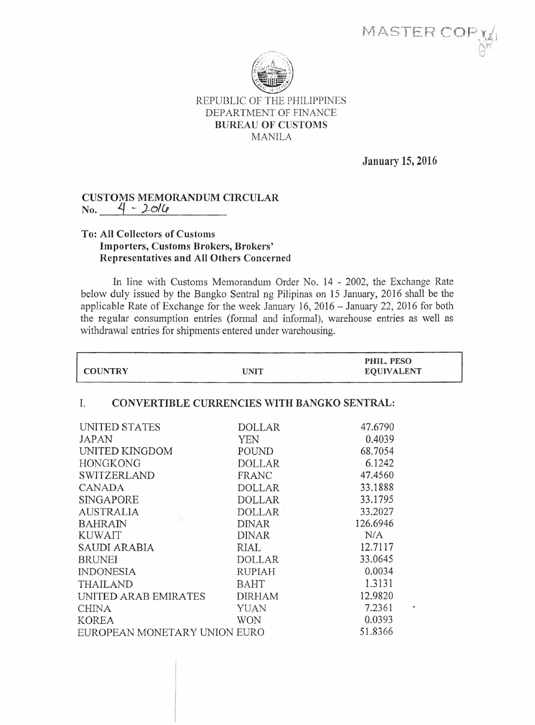MASTER COP



## REPUBLIC OF THE PHILIPPINES DEPARTMENT OF FINANCE BUREAU OF CUSTOMS MANILA

January 15, 2016

PHIL. PESO

## CUSTOMS MEMORANDUM CIRCULAR No. ~ - *J-CJ/&*

## To: All Collectors of Customs Importers, Customs Brokers, Brokers' Representatives and All Others Concerned

In line with Customs Memorandum Order No. 14 - 2002, the Exchange Rate below duly issued by the Bangko Sentral ng Pilipinas on 15 January, 2016 shall be the applicable Rate of Exchange for the week January 16,2016 - January 22, 2016 for both the regular consumption entries (formal and informal), warehouse entries as well as withdrawal entries for shipments entered under warehousing.

| <b>COUNTRY</b>                                           | <b>UNIT</b>   | PHIL. PESO<br><b>EQUIVALENT</b> |
|----------------------------------------------------------|---------------|---------------------------------|
| I.<br><b>CONVERTIBLE CURRENCIES WITH BANGKO SENTRAL:</b> |               |                                 |
| UNITED STATES                                            | <b>DOLLAR</b> | 47.6790                         |
| JAPAN                                                    | <b>YEN</b>    | 0.4039                          |
| UNITED KINGDOM                                           | POUND         | 68.7054                         |
| <b>HONGKONG</b>                                          | <b>DOLLAR</b> | 6.1242                          |
| <b>SWITZERLAND</b>                                       | FRANC         | 47.4560                         |
| <b>CANADA</b>                                            | <b>DOLLAR</b> | 33.1888                         |
| SINGAPORE                                                | <b>DOLLAR</b> | 33.1795                         |
| <b>AUSTRALIA</b>                                         | <b>DOLLAR</b> | 33.2027                         |
| <b>BAHRAIN</b>                                           | <b>DINAR</b>  | 126.6946                        |
| <b>KUWAIT</b>                                            | <b>DINAR</b>  | N/A                             |
| SAUDI ARABIA                                             | RIAL          | 12.7117                         |
| <b>BRUNEI</b>                                            | <b>DOLLAR</b> | 33.0645                         |
| <b>INDONESIA</b>                                         | <b>RUPIAH</b> | 0.0034                          |
| THAILAND                                                 | <b>BAHT</b>   | 1.3131                          |
| UNITED ARAB EMIRATES                                     | <b>DIRHAM</b> | 12.9820                         |
| <b>CHINA</b>                                             | <b>YUAN</b>   | 7.2361                          |
| <b>KOREA</b>                                             | <b>WON</b>    | 0.0393                          |
| EUROPEAN MONETARY UNION EURO                             |               | 51.8366                         |
|                                                          |               |                                 |